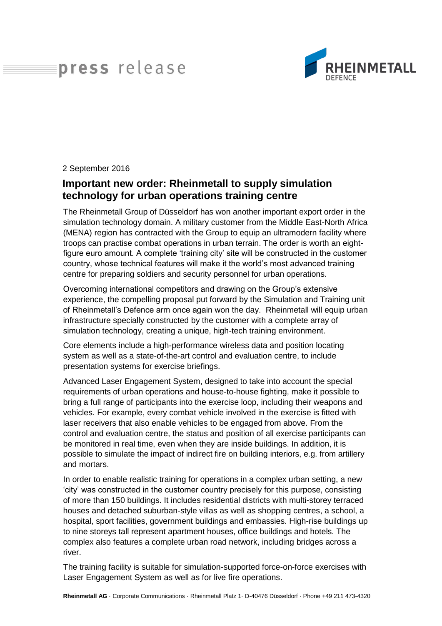## press release



2 September 2016

## **Important new order: Rheinmetall to supply simulation technology for urban operations training centre**

The Rheinmetall Group of Düsseldorf has won another important export order in the simulation technology domain. A military customer from the Middle East-North Africa (MENA) region has contracted with the Group to equip an ultramodern facility where troops can practise combat operations in urban terrain. The order is worth an eightfigure euro amount. A complete 'training city' site will be constructed in the customer country, whose technical features will make it the world's most advanced training centre for preparing soldiers and security personnel for urban operations.

Overcoming international competitors and drawing on the Group's extensive experience, the compelling proposal put forward by the Simulation and Training unit of Rheinmetall's Defence arm once again won the day. Rheinmetall will equip urban infrastructure specially constructed by the customer with a complete array of simulation technology, creating a unique, high-tech training environment.

Core elements include a high-performance wireless data and position locating system as well as a state-of-the-art control and evaluation centre, to include presentation systems for exercise briefings.

Advanced Laser Engagement System, designed to take into account the special requirements of urban operations and house-to-house fighting, make it possible to bring a full range of participants into the exercise loop, including their weapons and vehicles. For example, every combat vehicle involved in the exercise is fitted with laser receivers that also enable vehicles to be engaged from above. From the control and evaluation centre, the status and position of all exercise participants can be monitored in real time, even when they are inside buildings. In addition, it is possible to simulate the impact of indirect fire on building interiors, e.g. from artillery and mortars.

In order to enable realistic training for operations in a complex urban setting, a new 'city' was constructed in the customer country precisely for this purpose, consisting of more than 150 buildings. It includes residential districts with multi-storey terraced houses and detached suburban-style villas as well as shopping centres, a school, a hospital, sport facilities, government buildings and embassies. High-rise buildings up to nine storeys tall represent apartment houses, office buildings and hotels. The complex also features a complete urban road network, including bridges across a river.

The training facility is suitable for simulation-supported force-on-force exercises with Laser Engagement System as well as for live fire operations.